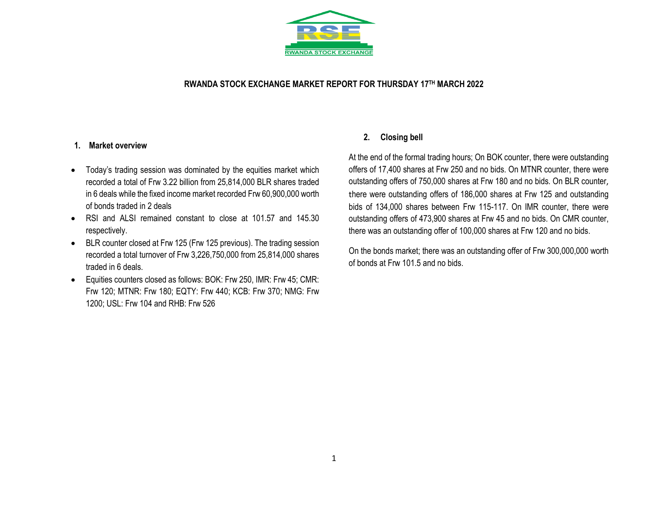

### **RWANDA STOCK EXCHANGE MARKET REPORT FOR THURSDAY 17TH MARCH 2022**

#### **1. Market overview**

- Today's trading session was dominated by the equities market which recorded a total of Frw 3.22 billion from 25,814,000 BLR shares traded in 6 deals while the fixed income market recorded Frw 60,900,000 worth of bonds traded in 2 deals
- RSI and ALSI remained constant to close at 101.57 and 145.30 respectively.
- BLR counter closed at Frw 125 (Frw 125 previous). The trading session recorded a total turnover of Frw 3,226,750,000 from 25,814,000 shares traded in 6 deals.
- Equities counters closed as follows: BOK: Frw 250, IMR: Frw 45; CMR: Frw 120; MTNR: Frw 180; EQTY: Frw 440; KCB: Frw 370; NMG: Frw 1200; USL: Frw 104 and RHB: Frw 526

### **2. Closing bell**

At the end of the formal trading hours; On BOK counter, there were outstanding offers of 17,400 shares at Frw 250 and no bids. On MTNR counter, there were outstanding offers of 750,000 shares at Frw 180 and no bids. On BLR counter, there were outstanding offers of 186,000 shares at Frw 125 and outstanding bids of 134,000 shares between Frw 115-117. On IMR counter, there were outstanding offers of 473,900 shares at Frw 45 and no bids. On CMR counter, there was an outstanding offer of 100,000 shares at Frw 120 and no bids.

On the bonds market; there was an outstanding offer of Frw 300,000,000 worth of bonds at Frw 101.5 and no bids.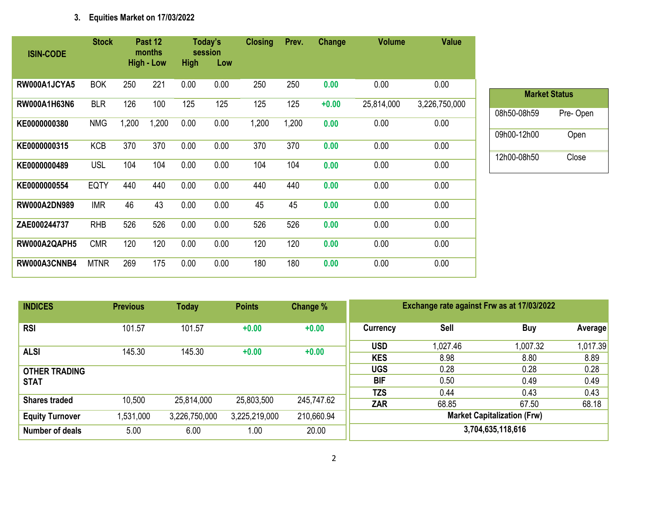# **3. Equities Market on 17/03/2022**

| <b>ISIN-CODE</b>    | <b>Stock</b> |       | Past 12<br>months |             | Today's<br>session | <b>Closing</b> | Prev. | Change  | <b>Volume</b> | <b>Value</b>  |
|---------------------|--------------|-------|-------------------|-------------|--------------------|----------------|-------|---------|---------------|---------------|
|                     |              |       | <b>High - Low</b> | <b>High</b> | Low                |                |       |         |               |               |
| RW000A1JCYA5        | <b>BOK</b>   | 250   | 221               | 0.00        | 0.00               | 250            | 250   | 0.00    | 0.00          | 0.00          |
| <b>RW000A1H63N6</b> | <b>BLR</b>   | 126   | 100               | 125         | 125                | 125            | 125   | $+0.00$ | 25,814,000    | 3,226,750,000 |
| KE0000000380        | <b>NMG</b>   | 1,200 | 1,200             | 0.00        | 0.00               | 1,200          | 1,200 | 0.00    | 0.00          | 0.00          |
| KE0000000315        | <b>KCB</b>   | 370   | 370               | 0.00        | 0.00               | 370            | 370   | 0.00    | 0.00          | 0.00          |
| KE0000000489        | <b>USL</b>   | 104   | 104               | 0.00        | 0.00               | 104            | 104   | 0.00    | 0.00          | 0.00          |
| KE0000000554        | <b>EQTY</b>  | 440   | 440               | 0.00        | 0.00               | 440            | 440   | 0.00    | 0.00          | 0.00          |
| <b>RW000A2DN989</b> | <b>IMR</b>   | 46    | 43                | 0.00        | 0.00               | 45             | 45    | 0.00    | 0.00          | 0.00          |
| ZAE000244737        | <b>RHB</b>   | 526   | 526               | 0.00        | 0.00               | 526            | 526   | 0.00    | 0.00          | 0.00          |
| RW000A2QAPH5        | <b>CMR</b>   | 120   | 120               | 0.00        | 0.00               | 120            | 120   | 0.00    | 0.00          | 0.00          |
| RW000A3CNNB4        | <b>MTNR</b>  | 269   | 175               | 0.00        | 0.00               | 180            | 180   | 0.00    | 0.00          | 0.00          |

| <b>INDICES</b>         | <b>Previous</b> | <b>Today</b>  | <b>Points</b> | Change %   |                   | Exchange rate against Frw as at 17/03/2022 |                                    |         |
|------------------------|-----------------|---------------|---------------|------------|-------------------|--------------------------------------------|------------------------------------|---------|
| <b>RSI</b>             | 101.57          | 101.57        | $+0.00$       | $+0.00$    | Currency          | <b>Sell</b>                                | <b>Buy</b>                         | Averag  |
|                        |                 |               |               |            | <b>USD</b>        | 1,027.46                                   | 1,007.32                           | 1,017.3 |
| <b>ALSI</b>            | 145.30          | 145.30        | $+0.00$       | $+0.00$    | <b>KES</b>        | 8.98                                       | 8.80                               | 8.89    |
| <b>OTHER TRADING</b>   |                 |               |               |            | <b>UGS</b>        | 0.28                                       | 0.28                               | 0.28    |
| <b>STAT</b>            |                 |               |               |            | <b>BIF</b>        | 0.50                                       | 0.49                               | 0.49    |
|                        |                 |               |               |            | <b>TZS</b>        | 0.44                                       | 0.43                               | 0.43    |
| <b>Shares traded</b>   | 10,500          | 25,814,000    | 25,803,500    | 245,747.62 | <b>ZAR</b>        | 68.85                                      | 67.50                              | 68.18   |
| <b>Equity Turnover</b> | 1,531,000       | 3,226,750,000 | 3,225,219,000 | 210,660.94 |                   |                                            | <b>Market Capitalization (Frw)</b> |         |
| <b>Number of deals</b> | 5.00            | 6.00          | 1.00          | 20.00      | 3,704,635,118,616 |                                            |                                    |         |

**Market Status**

08h50-08h59 Pre- Open

09h00-12h00 Open

12h00-08h50 Close

**Average** 

1,017.39<br>8.89<br>0.28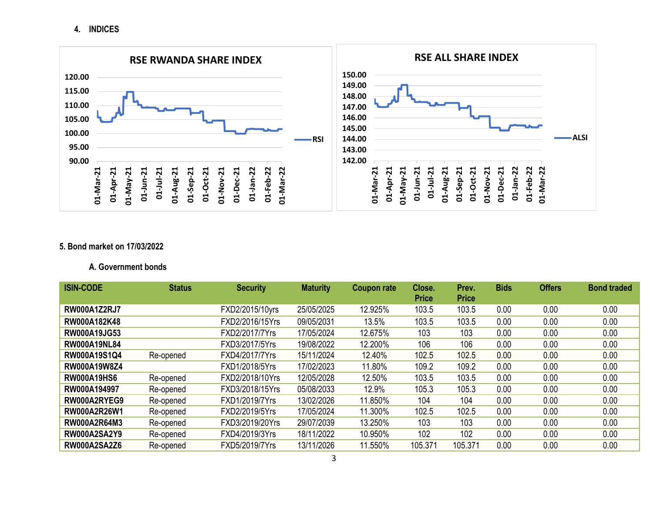**4. INDICES**



## **5. Bond market on 17/03/2022**

### **A. Government bonds**

| <b>ISIN-CODE</b>    | <b>Status</b> | <b>Security</b> | <b>Maturity</b> | <b>Coupon rate</b> | Close.       | Prev.        | <b>Bids</b> | <b>Offers</b> | <b>Bond traded</b> |
|---------------------|---------------|-----------------|-----------------|--------------------|--------------|--------------|-------------|---------------|--------------------|
|                     |               |                 |                 |                    | <b>Price</b> | <b>Price</b> |             |               |                    |
| <b>RW000A1Z2RJ7</b> |               | FXD2/2015/10yrs | 25/05/2025      | 12.925%            | 103.5        | 103.5        | 0.00        | 0.00          | 0.00               |
| RW000A182K48        |               | FXD2/2016/15Yrs | 09/05/2031      | 13.5%              | 103.5        | 103.5        | 0.00        | 0.00          | 0.00               |
| <b>RW000A19JG53</b> |               | FXD2/2017/7Yrs  | 17/05/2024      | 12.675%            | 103          | 103          | 0.00        | 0.00          | 0.00               |
| <b>RW000A19NL84</b> |               | FXD3/2017/5Yrs  | 19/08/2022      | 12.200%            | 106          | 106          | 0.00        | 0.00          | 0.00               |
| RW000A19S1Q4        | Re-opened     | FXD4/2017/7Yrs  | 15/11/2024      | 12.40%             | 102.5        | 102.5        | 0.00        | 0.00          | 0.00               |
| RW000A19W8Z4        |               | FXD1/2018/5Yrs  | 17/02/2023      | 11.80%             | 109.2        | 109.2        | 0.00        | 0.00          | 0.00               |
| <b>RW000A19HS6</b>  | Re-opened     | FXD2/2018/10Yrs | 12/05/2028      | 12.50%             | 103.5        | 103.5        | 0.00        | 0.00          | 0.00               |
| RW000A194997        | Re-opened     | FXD3/2018/15Yrs | 05/08/2033      | 12.9%              | 105.3        | 105.3        | 0.00        | 0.00          | 0.00               |
| RW000A2RYEG9        | Re-opened     | FXD1/2019/7Yrs  | 13/02/2026      | 11.850%            | 104          | 104          | 0.00        | 0.00          | 0.00               |
| RW000A2R26W1        | Re-opened     | FXD2/2019/5Yrs  | 17/05/2024      | 11.300%            | 102.5        | 102.5        | 0.00        | 0.00          | 0.00               |
| <b>RW000A2R64M3</b> | Re-opened     | FXD3/2019/20Yrs | 29/07/2039      | 13.250%            | 103          | 103          | 0.00        | 0.00          | 0.00               |
| <b>RW000A2SA2Y9</b> | Re-opened     | FXD4/2019/3Yrs  | 18/11/2022      | 10.950%            | 102          | 102          | 0.00        | 0.00          | 0.00               |
| <b>RW000A2SA2Z6</b> | Re-opened     | FXD5/2019/7Yrs  | 13/11/2026      | 11.550%            | 105.371      | 105.371      | 0.00        | 0.00          | 0.00               |